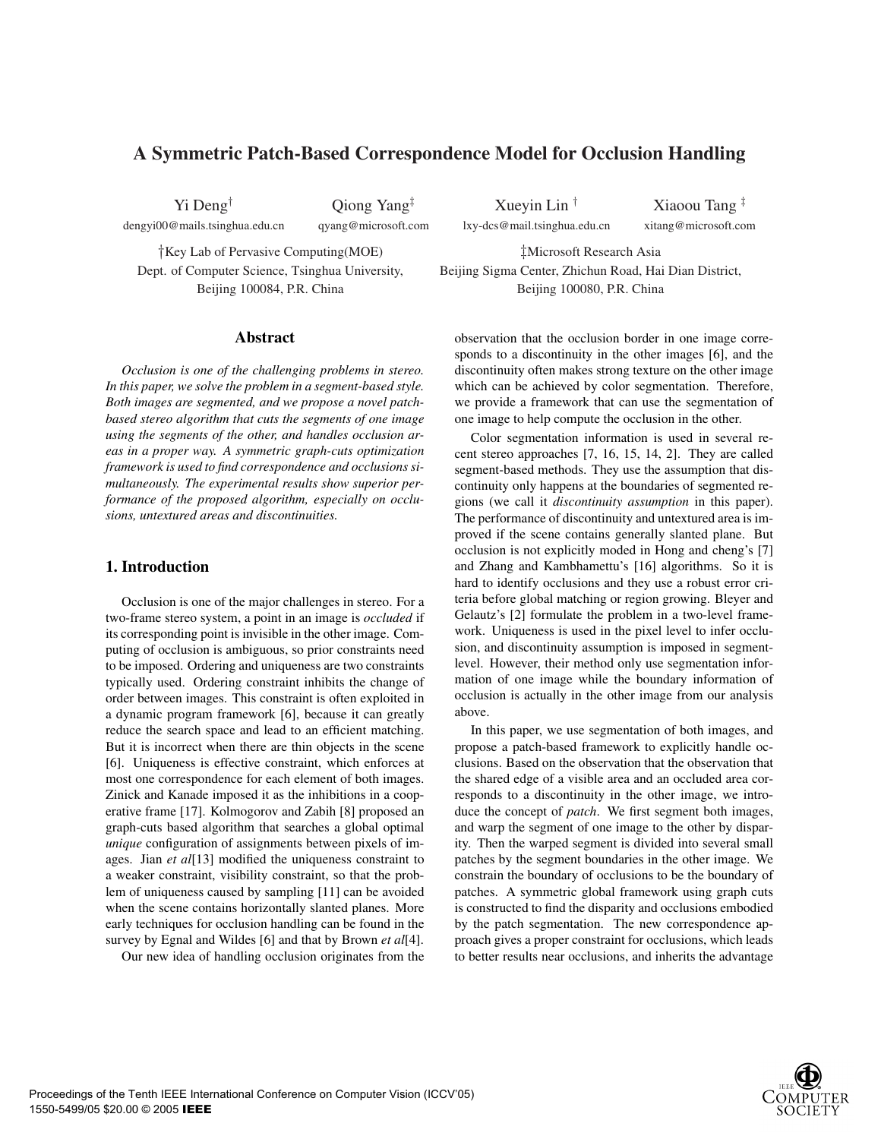# **A Symmetric Patch-Based Correspondence Model for Occlusion Handling**

Yi Deng†

dengyi00@mails.tsinghua.edu.cn

Qiong Yang‡ qyang@microsoft.com

†Key Lab of Pervasive Computing(MOE) Dept. of Computer Science, Tsinghua University, Beijing 100084, P.R. China

#### **Abstract**

*Occlusion is one of the challenging problems in stereo. In this paper, we solve the problem in a segment-based style. Both images are segmented, and we propose a novel patchbased stereo algorithm that cuts the segments of one image using the segments of the other, and handles occlusion areas in a proper way. A symmetric graph-cuts optimization framework is used to find correspondence and occlusions simultaneously. The experimental results show superior performance of the proposed algorithm, especially on occlusions, untextured areas and discontinuities.*

# **1. Introduction**

Occlusion is one of the major challenges in stereo. For a two-frame stereo system, a point in an image is *occluded* if its corresponding point is invisible in the other image. Computing of occlusion is ambiguous, so prior constraints need to be imposed. Ordering and uniqueness are two constraints typically used. Ordering constraint inhibits the change of order between images. This constraint is often exploited in a dynamic program framework [6], because it can greatly reduce the search space and lead to an efficient matching. But it is incorrect when there are thin objects in the scene [6]. Uniqueness is effective constraint, which enforces at most one correspondence for each element of both images. Zinick and Kanade imposed it as the inhibitions in a cooperative frame [17]. Kolmogorov and Zabih [8] proposed an graph-cuts based algorithm that searches a global optimal *unique* configuration of assignments between pixels of images. Jian *et al*[13] modified the uniqueness constraint to a weaker constraint, visibility constraint, so that the problem of uniqueness caused by sampling [11] can be avoided when the scene contains horizontally slanted planes. More early techniques for occlusion handling can be found in the survey by Egnal and Wildes [6] and that by Brown *et al*[4]. Our new idea of handling occlusion originates from the

Xueyin Lin † lxy-dcs@mail.tsinghua.edu.cn

Xiaoou Tang ‡ xitang@microsoft.com

‡Microsoft Research Asia Beijing Sigma Center, Zhichun Road, Hai Dian District, Beijing 100080, P.R. China

observation that the occlusion border in one image corresponds to a discontinuity in the other images [6], and the discontinuity often makes strong texture on the other image which can be achieved by color segmentation. Therefore, we provide a framework that can use the segmentation of one image to help compute the occlusion in the other.

Color segmentation information is used in several recent stereo approaches [7, 16, 15, 14, 2]. They are called segment-based methods. They use the assumption that discontinuity only happens at the boundaries of segmented regions (we call it *discontinuity assumption* in this paper). The performance of discontinuity and untextured area is improved if the scene contains generally slanted plane. But occlusion is not explicitly moded in Hong and cheng's [7] and Zhang and Kambhamettu's [16] algorithms. So it is hard to identify occlusions and they use a robust error criteria before global matching or region growing. Bleyer and Gelautz's [2] formulate the problem in a two-level framework. Uniqueness is used in the pixel level to infer occlusion, and discontinuity assumption is imposed in segmentlevel. However, their method only use segmentation information of one image while the boundary information of occlusion is actually in the other image from our analysis above.

In this paper, we use segmentation of both images, and propose a patch-based framework to explicitly handle occlusions. Based on the observation that the observation that the shared edge of a visible area and an occluded area corresponds to a discontinuity in the other image, we introduce the concept of *patch*. We first segment both images, and warp the segment of one image to the other by disparity. Then the warped segment is divided into several small patches by the segment boundaries in the other image. We constrain the boundary of occlusions to be the boundary of patches. A symmetric global framework using graph cuts is constructed to find the disparity and occlusions embodied by the patch segmentation. The new correspondence approach gives a proper constraint for occlusions, which leads to better results near occlusions, and inherits the advantage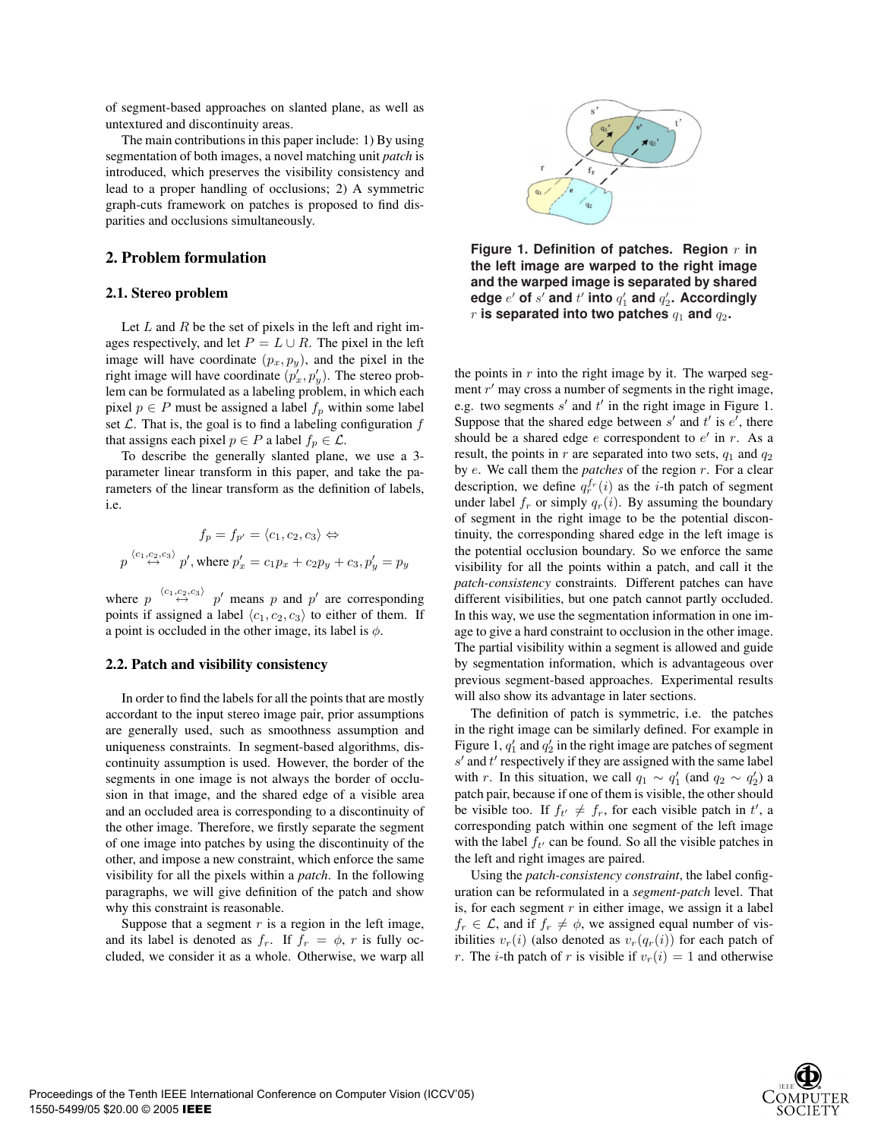of segment-based approaches on slanted plane, as well as untextured and discontinuity areas.

The main contributions in this paper include: 1) By using segmentation of both images, a novel matching unit *patch* is introduced, which preserves the visibility consistency and lead to a proper handling of occlusions; 2) A symmetric graph-cuts framework on patches is proposed to find disparities and occlusions simultaneously.

## **2. Problem formulation**

#### **2.1. Stereo problem**

Let  $L$  and  $R$  be the set of pixels in the left and right images respectively, and let  $P = L \cup R$ . The pixel in the left image will have coordinate  $(p_x, p_y)$ , and the pixel in the right image will have coordinate  $(p'_x, p'_y)$ . The stereo prob-<br>lem can be formulated as a labeling problem, in which each lem can be formulated as a labeling problem, in which each pixel  $p \in P$  must be assigned a label  $f_p$  within some label set  $\mathcal L$ . That is, the goal is to find a labeling configuration  $f$ that assigns each pixel  $p \in P$  a label  $f_p \in \mathcal{L}$ .

To describe the generally slanted plane, we use a 3 parameter linear transform in this paper, and take the parameters of the linear transform as the definition of labels, i.e.

$$
f_p = f_{p'} = \langle c_1, c_2, c_3 \rangle \Leftrightarrow
$$
  

$$
p \xrightarrow{\langle c_1, c_2, c_3 \rangle} p', \text{where } p'_x = c_1 p_x + c_2 p_y + c_3, p'_y = p_y
$$

where  $p \stackrel{\langle c_1,c_2,c_3\rangle}{\leftrightarrow} p'$  means p and p' are corresponding points if assigned a label  $\langle c_1, c_2, c_3 \rangle$  to either of them. If a point is occluded in the other image, its label is  $\phi$ .

#### **2.2. Patch and visibility consistency**

In order to find the labels for all the points that are mostly accordant to the input stereo image pair, prior assumptions are generally used, such as smoothness assumption and uniqueness constraints. In segment-based algorithms, discontinuity assumption is used. However, the border of the segments in one image is not always the border of occlusion in that image, and the shared edge of a visible area and an occluded area is corresponding to a discontinuity of the other image. Therefore, we firstly separate the segment of one image into patches by using the discontinuity of the other, and impose a new constraint, which enforce the same visibility for all the pixels within a *patch*. In the following paragraphs, we will give definition of the patch and show why this constraint is reasonable.

Suppose that a segment  $r$  is a region in the left image, and its label is denoted as  $f_r$ . If  $f_r = \phi$ , r is fully occluded, we consider it as a whole. Otherwise, we warp all



**Figure 1. Definition of patches. Region** r **in the left image are warped to the right image and the warped image is separated by shared** edge  $e'$  of  $s'$  and  $t'$  into  $q'_1$  and  $q'_2$ . Accordingly  $r$  is separated into two patches  $q_1$  and  $q_2$ .

the points in  $r$  into the right image by it. The warped segment  $r'$  may cross a number of segments in the right image, e.g. two segments  $s'$  and  $t'$  in the right image in Figure 1. Suppose that the shared edge between  $s'$  and  $t'$  is  $e'$ , there should be a shared edge  $e$  correspondent to  $e'$  in  $r$ . As a result, the points in r are separated into two sets,  $q_1$  and  $q_2$ by e. We call them the *patches* of the region r. For a clear description, we define  $q_r^{f_r}(i)$  as the *i*-th patch of segment<br>under label f, or simply  $q_s(i)$ . By assuming the boundary under label  $f_r$  or simply  $q_r(i)$ . By assuming the boundary of segment in the right image to be the potential discontinuity, the corresponding shared edge in the left image is the potential occlusion boundary. So we enforce the same visibility for all the points within a patch, and call it the *patch-consistency* constraints. Different patches can have different visibilities, but one patch cannot partly occluded. In this way, we use the segmentation information in one image to give a hard constraint to occlusion in the other image. The partial visibility within a segment is allowed and guide by segmentation information, which is advantageous over previous segment-based approaches. Experimental results will also show its advantage in later sections.

The definition of patch is symmetric, i.e. the patches in the right image can be similarly defined. For example in Figure 1,  $q'_1$  and  $q'_2$  in the right image are patches of segment  $s'$  and  $t'$  respectively if they are assigned with the same label with r. In this situation, we call  $q_1 \sim q'_1$  (and  $q_2 \sim q'_2$ ) a patch pair, because if one of them is visible, the other should be visible too. If  $f_{t'} \neq f_r$ , for each visible patch in t', a corresponding patch within one segment of the left image corresponding patch within one segment of the left image with the label  $f_t$  can be found. So all the visible patches in the left and right images are paired.

Using the *patch-consistency constraint*, the label configuration can be reformulated in a *segment-patch* level. That is, for each segment  $r$  in either image, we assign it a label  $f_r \in \mathcal{L}$ , and if  $f_r \neq \phi$ , we assigned equal number of visibilities  $v_r(i)$  (also denoted as  $v_r(q_r(i))$  for each patch of r. The *i*-th patch of r is visible if  $v_r(i)=1$  and otherwise

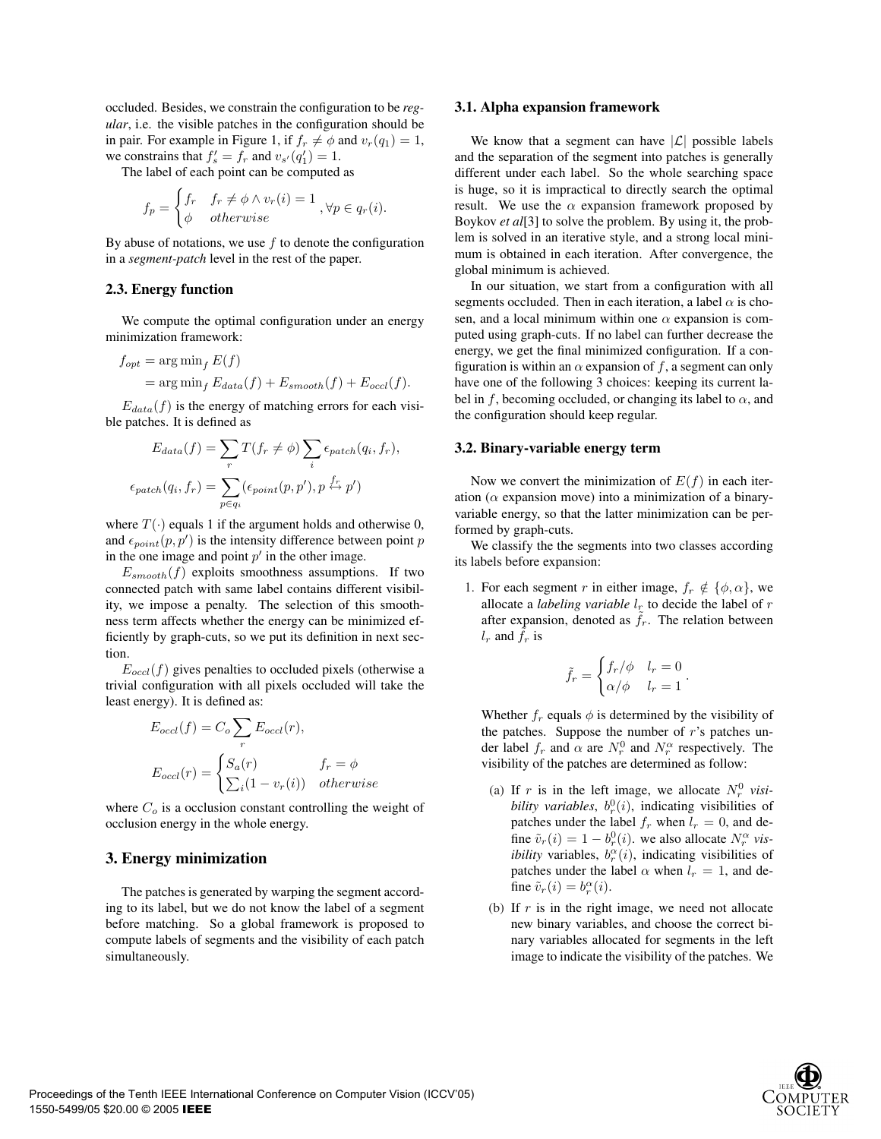occluded. Besides, we constrain the configuration to be *regular*, i.e. the visible patches in the configuration should be in pair. For example in Figure 1, if  $f_r \neq \phi$  and  $v_r(q_1)=1$ , we constrains that  $f'_s = f_r$  and  $v_{s'}(q'_1) = 1$ .<br>The label of each point can be computed

The label of each point can be computed as

$$
f_p = \begin{cases} f_r & f_r \neq \phi \land v_r(i) = 1 \\ \phi & otherwise \end{cases}, \forall p \in q_r(i).
$$

By abuse of notations, we use  $f$  to denote the configuration in a *segment-patch* level in the rest of the paper.

## **2.3. Energy function**

We compute the optimal configuration under an energy minimization framework:

$$
f_{opt} = \arg\min_{f} E(f)
$$
  
= 
$$
\arg\min_{f} E_{data}(f) + E_{smooth}(f) + E_{occl}(f).
$$

 $E_{data}(f)$  is the energy of matching errors for each visible patches. It is defined as

$$
E_{data}(f) = \sum_{r} T(f_r \neq \phi) \sum_{i} \epsilon_{patch}(q_i, f_r),
$$

$$
\epsilon_{patch}(q_i, f_r) = \sum_{p \in q_i} (\epsilon_{point}(p, p'), p \stackrel{f_r}{\leftrightarrow} p')
$$

where  $T(\cdot)$  equals 1 if the argument holds and otherwise 0, and  $\epsilon_{point}(p, p')$  is the intensity difference between point p<br>in the one image and point p' in the other image in the one image and point  $p'$  in the other image.

 $E_{smooth}(f)$  exploits smoothness assumptions. If two connected patch with same label contains different visibility, we impose a penalty. The selection of this smoothness term affects whether the energy can be minimized efficiently by graph-cuts, so we put its definition in next section.

 $E_{occl}(f)$  gives penalties to occluded pixels (otherwise a trivial configuration with all pixels occluded will take the least energy). It is defined as:

$$
E_{occl}(f) = C_o \sum_{r} E_{occl}(r),
$$
  
\n
$$
E_{occl}(r) = \begin{cases} S_a(r) & f_r = \phi \\ \sum_{i} (1 - v_r(i)) & otherwise \end{cases}
$$

where  $C<sub>o</sub>$  is a occlusion constant controlling the weight of occlusion energy in the whole energy.

## **3. Energy minimization**

The patches is generated by warping the segment according to its label, but we do not know the label of a segment before matching. So a global framework is proposed to compute labels of segments and the visibility of each patch simultaneously.

#### **3.1. Alpha expansion framework**

We know that a segment can have  $|\mathcal{L}|$  possible labels and the separation of the segment into patches is generally different under each label. So the whole searching space is huge, so it is impractical to directly search the optimal result. We use the  $\alpha$  expansion framework proposed by Boykov *et al*[3] to solve the problem. By using it, the problem is solved in an iterative style, and a strong local minimum is obtained in each iteration. After convergence, the global minimum is achieved.

In our situation, we start from a configuration with all segments occluded. Then in each iteration, a label  $\alpha$  is chosen, and a local minimum within one  $\alpha$  expansion is computed using graph-cuts. If no label can further decrease the energy, we get the final minimized configuration. If a configuration is within an  $\alpha$  expansion of f, a segment can only have one of the following 3 choices: keeping its current label in f, becoming occluded, or changing its label to  $\alpha$ , and the configuration should keep regular.

#### **3.2. Binary-variable energy term**

Now we convert the minimization of  $E(f)$  in each iteration ( $\alpha$  expansion move) into a minimization of a binaryvariable energy, so that the latter minimization can be performed by graph-cuts.

We classify the the segments into two classes according its labels before expansion:

1. For each segment r in either image,  $f_r \notin {\phi, \alpha}$ , we allocate a *labeling variable*  $l_r$  to decide the label of r after expansion, denoted as  $\tilde{f}_r$ . The relation between  $l_r$  and  $\tilde{f}_r$  is

$$
\tilde{f}_r = \begin{cases} f_r/\phi & l_r = 0 \\ \alpha/\phi & l_r = 1 \end{cases}.
$$

Whether  $f_r$  equals  $\phi$  is determined by the visibility of the patches. Suppose the number of  $r$ 's patches under label  $f_r$  and  $\alpha$  are  $N_r^0$  and  $N_r^\alpha$  respectively. The visibility of the patches are determined as follow:

- (a) If r is in the left image, we allocate  $N_r^0$  visi*bility variables*,  $b_r^0(i)$ , indicating visibilities of patches under the label f when  $l = 0$  and depatches under the label  $f_r$  when  $l_r = 0$ , and define  $\tilde{v}_r(i) = 1 - b_r^0(i)$ , we also allocate  $N_r^\alpha$  vis-<br>*ibility* variables  $b^\alpha(i)$ , indicating visibilities of *ibility* variables,  $b_r^{\alpha}(i)$ , indicating visibilities of patches under the label  $\alpha$  when  $l = 1$  and depatches under the label  $\alpha$  when  $l_r = 1$ , and define  $\tilde{v}_r(i) = b_r^{\alpha}(i)$ .
- (b) If  $r$  is in the right image, we need not allocate new binary variables, and choose the correct binary variables allocated for segments in the left image to indicate the visibility of the patches. We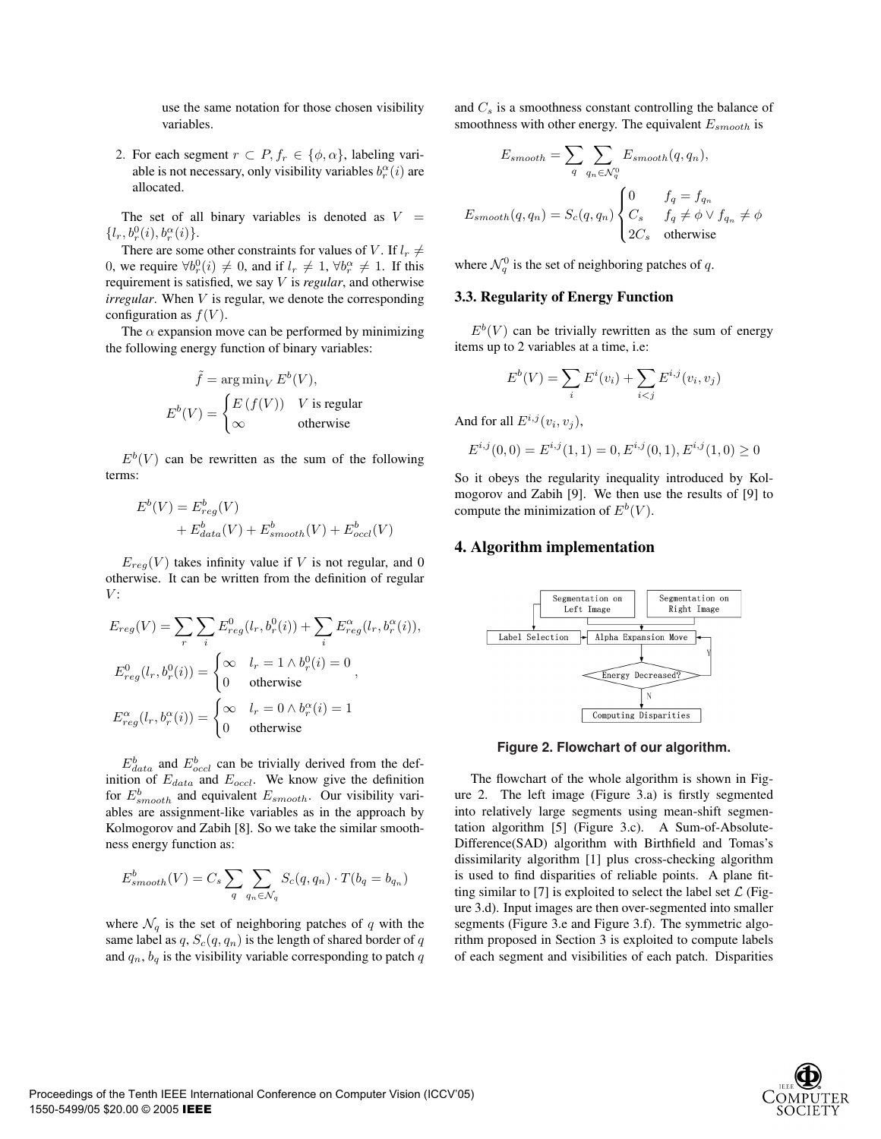use the same notation for those chosen visibility variables.

2. For each segment  $r \n\subset P, f_r \in \{\phi, \alpha\}$ , labeling variable is not necessary, only visibility variables  $b_r^{\alpha}(i)$  are allocated allocated.

The set of all binary variables is denoted as  $V =$  $\{l_r, b_r^0(i), b_r^\alpha(i)\}.$ <br>There are some

There are some other constraints for values of V. If  $l_r \neq$ 0, we require  $\forall b_r^0(i) \neq 0$ , and if  $l_r \neq 1$ ,  $\forall b_r^{\alpha} \neq 1$ . If this requirement is satisfied, we say *V* is require and otherwise requirement is satisfied, we say V is *regular*, and otherwise *irregular*. When V is regular, we denote the corresponding configuration as  $f(V)$ .

The  $\alpha$  expansion move can be performed by minimizing the following energy function of binary variables:

$$
\tilde{f} = \arg\min_{V} E^{b}(V),
$$

$$
E^{b}(V) = \begin{cases} E(f(V)) & V \text{ is regular} \\ \infty & \text{otherwise} \end{cases}
$$

 $E^{b}(V)$  can be rewritten as the sum of the following terms:

$$
E^b(V) = E^b_{reg}(V)
$$
  
+  $E^b_{data}(V) + E^b_{smooth}(V) + E^b_{occl}(V)$ 

 $E_{reg}(V)$  takes infinity value if V is not regular, and 0 otherwise. It can be written from the definition of regular  $V:$ 

$$
E_{reg}(V) = \sum_{r} \sum_{i} E_{reg}^{0}(l_{r}, b_{r}^{0}(i)) + \sum_{i} E_{reg}^{\alpha}(l_{r}, b_{r}^{\alpha}(i)),
$$
  
\n
$$
E_{reg}^{0}(l_{r}, b_{r}^{0}(i)) = \begin{cases} \infty & l_{r} = 1 \land b_{r}^{0}(i) = 0\\ 0 & \text{otherwise} \end{cases},
$$
  
\n
$$
E_{reg}^{\alpha}(l_{r}, b_{r}^{\alpha}(i)) = \begin{cases} \infty & l_{r} = 0 \land b_{r}^{\alpha}(i) = 1\\ 0 & \text{otherwise} \end{cases}
$$

 $E_{data}^{b}$  and  $E_{occl}^{b}$  can be trivially derived from the definition of  $E_{data}$  and  $E_{occl}$ . We know give the definition for  $E_{smooth}^b$  and equivalent  $E_{smooth}$ . Our visibility variables are assignment-like variables as in the approach by Kolmogorov and Zabih [8]. So we take the similar smoothness energy function as:

$$
E_{smooth}^b(V) = C_s \sum_{q} \sum_{q_n \in \mathcal{N}_q} S_c(q, q_n) \cdot T(b_q = b_{q_n})
$$

where  $\mathcal{N}_q$  is the set of neighboring patches of q with the same label as  $q$ ,  $S_c(q, q_n)$  is the length of shared border of q and  $q_n$ ,  $b_q$  is the visibility variable corresponding to patch q

and  $C_s$  is a smoothness constant controlling the balance of smoothness with other energy. The equivalent  $E_{smooth}$  is

$$
E_{smooth} = \sum_{q} \sum_{q_n \in \mathcal{N}_q^0} E_{smooth}(q, q_n),
$$

$$
E_{smooth}(q, q_n) = S_c(q, q_n) \begin{cases} 0 & f_q = f_{q_n} \\ C_s & f_q \neq \phi \lor f_{q_n} \neq \phi \\ 2C_s & \text{otherwise} \end{cases}
$$

where  $\mathcal{N}_q^0$  is the set of neighboring patches of q.

#### **3.3. Regularity of Energy Function**

 $E^{b}(V)$  can be trivially rewritten as the sum of energy items up to 2 variables at a time, i.e:

$$
E^{b}(V) = \sum_{i} E^{i}(v_{i}) + \sum_{i < j} E^{i,j}(v_{i}, v_{j})
$$

And for all  $E^{i,j}(v_i, v_j)$ ,

$$
E^{i,j}(0,0) = E^{i,j}(1,1) = 0, E^{i,j}(0,1), E^{i,j}(1,0) \ge 0
$$

So it obeys the regularity inequality introduced by Kolmogorov and Zabih [9]. We then use the results of [9] to compute the minimization of  $E^b(V)$ .

## **4. Algorithm implementation**



**Figure 2. Flowchart of our algorithm.**

The flowchart of the whole algorithm is shown in Figure 2. The left image (Figure 3.a) is firstly segmented into relatively large segments using mean-shift segmentation algorithm [5] (Figure 3.c). A Sum-of-Absolute-Difference(SAD) algorithm with Birthfield and Tomas's dissimilarity algorithm [1] plus cross-checking algorithm is used to find disparities of reliable points. A plane fitting similar to [7] is exploited to select the label set  $\mathcal{L}$  (Figure 3.d). Input images are then over-segmented into smaller segments (Figure 3.e and Figure 3.f). The symmetric algorithm proposed in Section 3 is exploited to compute labels of each segment and visibilities of each patch. Disparities

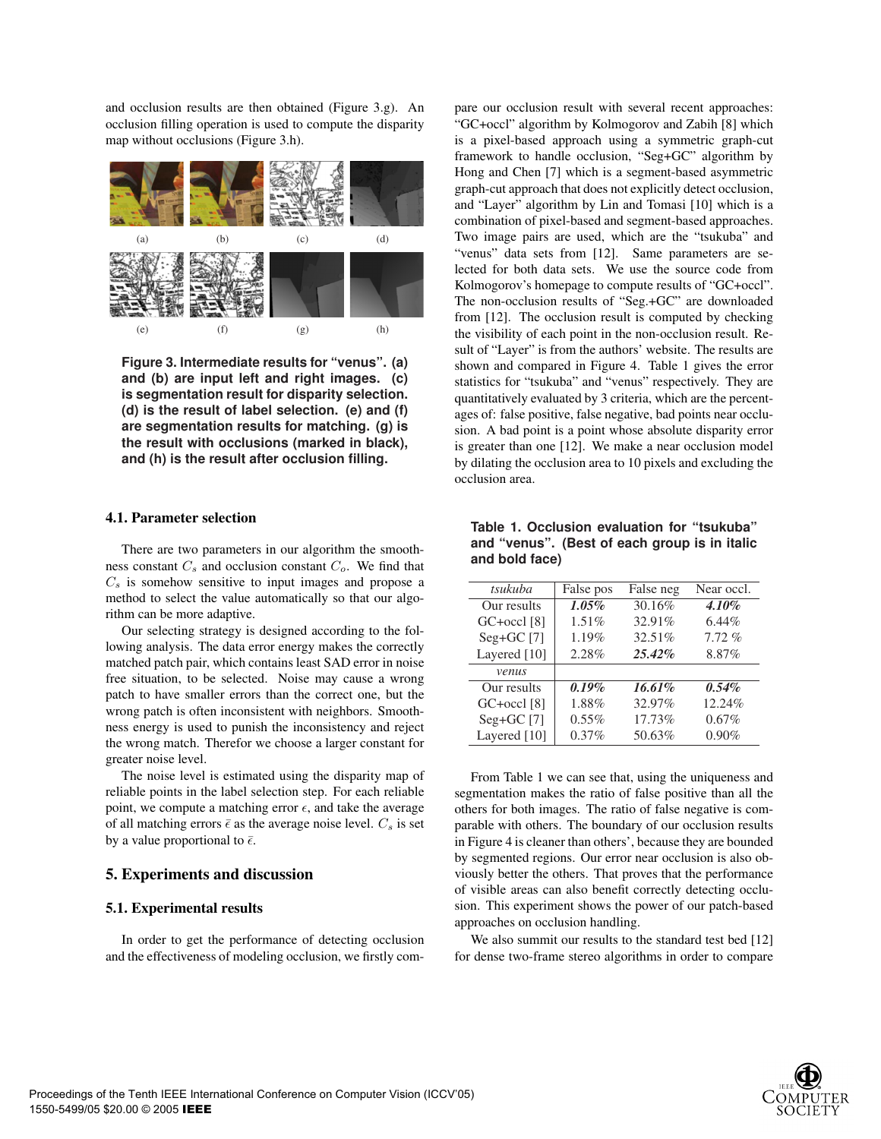and occlusion results are then obtained (Figure 3.g). An occlusion filling operation is used to compute the disparity map without occlusions (Figure 3.h).



**Figure 3. Intermediate results for "venus". (a) and (b) are input left and right images. (c) is segmentation result for disparity selection. (d) is the result of label selection. (e) and (f) are segmentation results for matching. (g) is the result with occlusions (marked in black), and (h) is the result after occlusion filling.**

#### **4.1. Parameter selection**

There are two parameters in our algorithm the smoothness constant  $C_s$  and occlusion constant  $C_o$ . We find that  $C_s$  is somehow sensitive to input images and propose a method to select the value automatically so that our algorithm can be more adaptive.

Our selecting strategy is designed according to the following analysis. The data error energy makes the correctly matched patch pair, which contains least SAD error in noise free situation, to be selected. Noise may cause a wrong patch to have smaller errors than the correct one, but the wrong patch is often inconsistent with neighbors. Smoothness energy is used to punish the inconsistency and reject the wrong match. Therefor we choose a larger constant for greater noise level.

The noise level is estimated using the disparity map of reliable points in the label selection step. For each reliable point, we compute a matching error  $\epsilon$ , and take the average of all matching errors  $\bar{\epsilon}$  as the average noise level.  $C_s$  is set<br>by a value proportional to  $\bar{\epsilon}$ by a value proportional to  $\bar{\epsilon}$ .

## **5. Experiments and discussion**

#### **5.1. Experimental results**

In order to get the performance of detecting occlusion and the effectiveness of modeling occlusion, we firstly compare our occlusion result with several recent approaches: "GC+occl" algorithm by Kolmogorov and Zabih [8] which is a pixel-based approach using a symmetric graph-cut framework to handle occlusion, "Seg+GC" algorithm by Hong and Chen [7] which is a segment-based asymmetric graph-cut approach that does not explicitly detect occlusion, and "Layer" algorithm by Lin and Tomasi [10] which is a combination of pixel-based and segment-based approaches. Two image pairs are used, which are the "tsukuba" and "venus" data sets from [12]. Same parameters are selected for both data sets. We use the source code from Kolmogorov's homepage to compute results of "GC+occl". The non-occlusion results of "Seg.+GC" are downloaded from [12]. The occlusion result is computed by checking the visibility of each point in the non-occlusion result. Result of "Layer" is from the authors' website. The results are shown and compared in Figure 4. Table 1 gives the error statistics for "tsukuba" and "venus" respectively. They are quantitatively evaluated by 3 criteria, which are the percentages of: false positive, false negative, bad points near occlusion. A bad point is a point whose absolute disparity error is greater than one [12]. We make a near occlusion model by dilating the occlusion area to 10 pixels and excluding the occlusion area.

|          | False neg | Near occl. |  |  |
|----------|-----------|------------|--|--|
| 1.05%    | 30.16%    | 4.10%      |  |  |
| 1.51%    | 32.91%    | 6.44%      |  |  |
| 1.19%    | 32.51%    | 7.72%      |  |  |
| 2.28%    | $25.42\%$ | 8.87%      |  |  |
|          |           |            |  |  |
| 0.19%    | 16.61%    | $0.54\%$   |  |  |
| 1.88%    | 32.97%    | 12.24%     |  |  |
| $0.55\%$ | 17.73%    | 0.67%      |  |  |
| 0.37%    | 50.63%    | 0.90%      |  |  |
|          | False pos |            |  |  |

**Table 1. Occlusion evaluation for "tsukuba" and "venus". (Best of each group is in italic and bold face)**

From Table 1 we can see that, using the uniqueness and segmentation makes the ratio of false positive than all the others for both images. The ratio of false negative is comparable with others. The boundary of our occlusion results in Figure 4 is cleaner than others', because they are bounded by segmented regions. Our error near occlusion is also obviously better the others. That proves that the performance of visible areas can also benefit correctly detecting occlusion. This experiment shows the power of our patch-based approaches on occlusion handling.

We also summit our results to the standard test bed [12] for dense two-frame stereo algorithms in order to compare

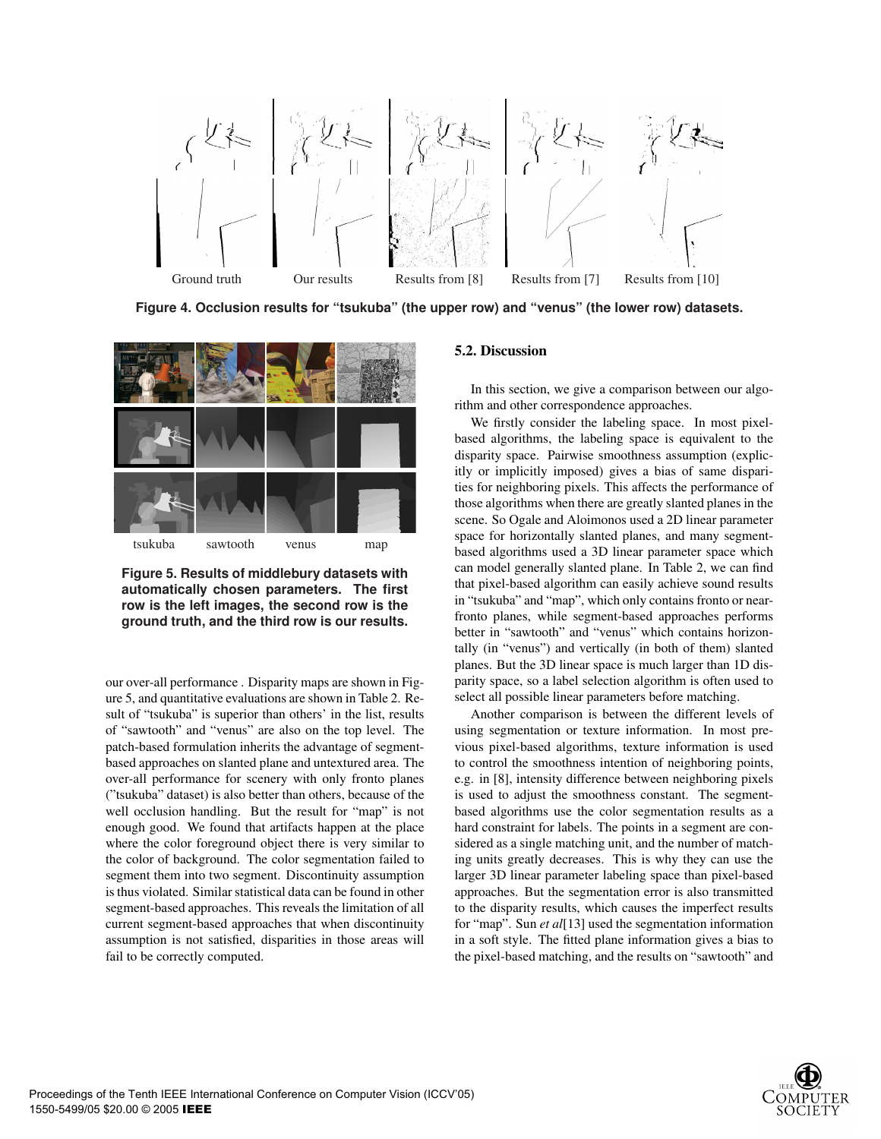

**Figure 4. Occlusion results for "tsukuba" (the upper row) and "venus" (the lower row) datasets.**



**Figure 5. Results of middlebury datasets with automatically chosen parameters. The first row is the left images, the second row is the ground truth, and the third row is our results.**

our over-all performance . Disparity maps are shown in Figure 5, and quantitative evaluations are shown in Table 2. Result of "tsukuba" is superior than others' in the list, results of "sawtooth" and "venus" are also on the top level. The patch-based formulation inherits the advantage of segmentbased approaches on slanted plane and untextured area. The over-all performance for scenery with only fronto planes ("tsukuba" dataset) is also better than others, because of the well occlusion handling. But the result for "map" is not enough good. We found that artifacts happen at the place where the color foreground object there is very similar to the color of background. The color segmentation failed to segment them into two segment. Discontinuity assumption is thus violated. Similar statistical data can be found in other segment-based approaches. This reveals the limitation of all current segment-based approaches that when discontinuity assumption is not satisfied, disparities in those areas will fail to be correctly computed.

#### **5.2. Discussion**

In this section, we give a comparison between our algorithm and other correspondence approaches.

We firstly consider the labeling space. In most pixelbased algorithms, the labeling space is equivalent to the disparity space. Pairwise smoothness assumption (explicitly or implicitly imposed) gives a bias of same disparities for neighboring pixels. This affects the performance of those algorithms when there are greatly slanted planes in the scene. So Ogale and Aloimonos used a 2D linear parameter space for horizontally slanted planes, and many segmentbased algorithms used a 3D linear parameter space which can model generally slanted plane. In Table 2, we can find that pixel-based algorithm can easily achieve sound results in "tsukuba" and "map", which only contains fronto or nearfronto planes, while segment-based approaches performs better in "sawtooth" and "venus" which contains horizontally (in "venus") and vertically (in both of them) slanted planes. But the 3D linear space is much larger than 1D disparity space, so a label selection algorithm is often used to select all possible linear parameters before matching.

Another comparison is between the different levels of using segmentation or texture information. In most previous pixel-based algorithms, texture information is used to control the smoothness intention of neighboring points, e.g. in [8], intensity difference between neighboring pixels is used to adjust the smoothness constant. The segmentbased algorithms use the color segmentation results as a hard constraint for labels. The points in a segment are considered as a single matching unit, and the number of matching units greatly decreases. This is why they can use the larger 3D linear parameter labeling space than pixel-based approaches. But the segmentation error is also transmitted to the disparity results, which causes the imperfect results for "map". Sun *et al*[13] used the segmentation information in a soft style. The fitted plane information gives a bias to the pixel-based matching, and the results on "sawtooth" and